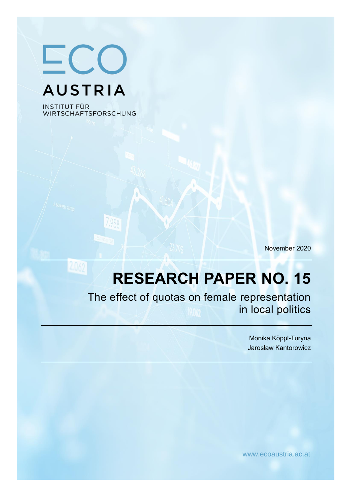ECO **AUSTRIA** 

**INSTITUT FÜR** WIRTSCHAFTSFORSCHUNG

November 2020

# **RESEARCH PAPER NO. 15**

The effect of quotas on female representation in local politics

> Monika Köppl-Turyna Jarosław Kantorowicz

www.ecoaustria.ac.at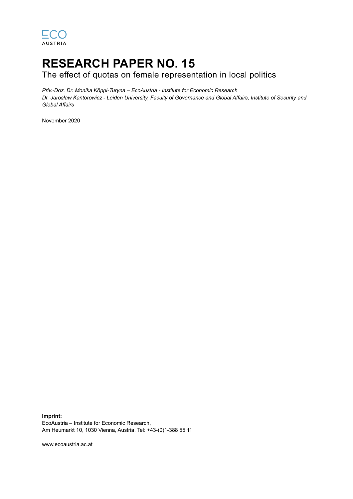

## **RESEARCH PAPER NO. 15**

The effect of quotas on female representation in local politics

*Priv.-Doz. Dr. Monika Köppl-Turyna – EcoAustria - Institute for Economic Research Dr. Jarosław Kantorowicz - Leiden University, Faculty of Governance and Global Affairs, Institute of Security and Global Affairs*

November 2020

**Imprint:** EcoAustria – Institute for Economic Research, Am Heumarkt 10, 1030 Vienna, Austria, Tel: +43-(0)1-388 55 11

www.ecoaustria.ac.at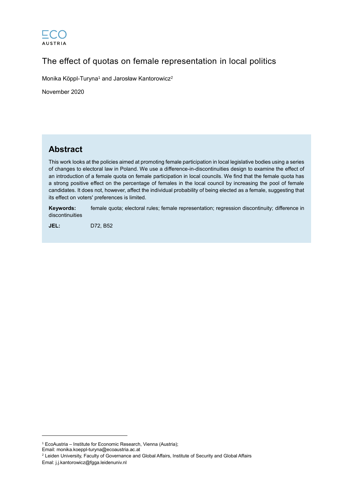

## The effect of quotas on female representation in local politics

Monika Köppl-Turyna<sup>1</sup> and Jarosław Kantorowicz<sup>2</sup>

November 2020

### **Abstract**

This work looks at the policies aimed at promoting female participation in local legislative bodies using a series of changes to electoral law in Poland. We use a difference-in-discontinuities design to examine the effect of an introduction of a female quota on female participation in local councils. We find that the female quota has a strong positive effect on the percentage of females in the local council by increasing the pool of female candidates. It does not, however, affect the individual probability of being elected as a female, suggesting that its effect on voters' preferences is limited.

**Keywords:** female quota; electoral rules; female representation; regression discontinuity; difference in discontinuities

**JEL:** D72, B52

 $\overline{a}$ 

<sup>1</sup> EcoAustria – Institute for Economic Research, Vienna (Austria);

Email: monika.koeppl-turyna@ecoaustria.ac.at

<sup>2</sup> Leiden University, Faculty of Governance and Global Affairs, Institute of Security and Global Affairs Emal: j.j.kantorowicz@fgga.leidenuniv.nl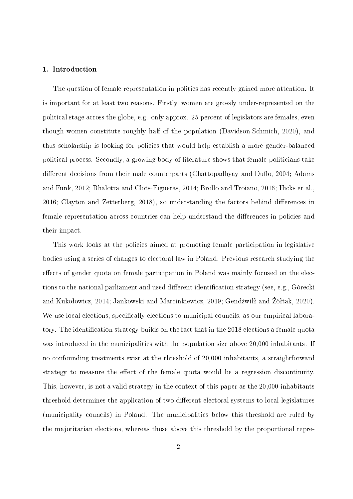#### 1. Introduction

The question of female representation in politics has recently gained more attention. It is important for at least two reasons. Firstly, women are grossly under-represented on the political stage across the globe, e.g. only approx. 25 percent of legislators are females, even though women constitute roughly half of the population (Davidson-Schmich, 2020), and thus scholarship is looking for policies that would help establish a more gender-balanced political process. Secondly, a growing body of literature shows that female politicians take different decisions from their male counterparts (Chattopadhyay and Duflo, 2004; Adams and Funk, 2012; Bhalotra and Clots-Figueras, 2014; Brollo and Troiano, 2016; Hicks et al.,  $2016$ ; Clayton and Zetterberg,  $2018$ ), so understanding the factors behind differences in female representation across countries can help understand the differences in policies and their impact.

This work looks at the policies aimed at promoting female participation in legislative bodies using a series of changes to electoral law in Poland. Previous research studying the effects of gender quota on female participation in Poland was mainly focused on the elections to the national parliament and used different identification strategy (see, e.g., Górecki and Kukołowicz, 2014; Jankowski and Marcinkiewicz, 2019; Gendźwiłł and Żółtak, 2020). We use local elections, specifically elections to municipal councils, as our empirical laboratory. The identification strategy builds on the fact that in the 2018 elections a female quota was introduced in the municipalities with the population size above 20,000 inhabitants. If no confounding treatments exist at the threshold of 20,000 inhabitants, a straightforward strategy to measure the effect of the female quota would be a regression discontinuity. This, however, is not a valid strategy in the context of this paper as the 20,000 inhabitants threshold determines the application of two different electoral systems to local legislatures (municipality councils) in Poland. The municipalities below this threshold are ruled by the majoritarian elections, whereas those above this threshold by the proportional repre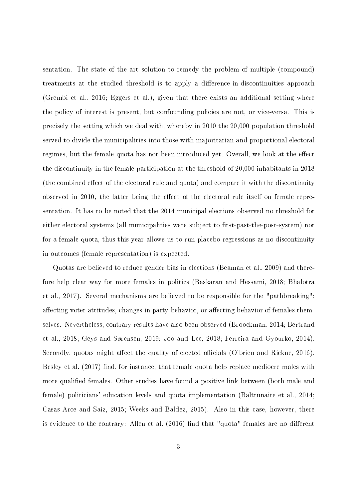sentation. The state of the art solution to remedy the problem of multiple (compound) treatments at the studied threshold is to apply a difference-in-discontinuities approach (Grembi et al., 2016; Eggers et al.), given that there exists an additional setting where the policy of interest is present, but confounding policies are not, or vice-versa. This is precisely the setting which we deal with, whereby in 2010 the 20,000 population threshold served to divide the municipalities into those with majoritarian and proportional electoral regimes, but the female quota has not been introduced yet. Overall, we look at the effect the discontinuity in the female participation at the threshold of 20,000 inhabitants in 2018 (the combined effect of the electoral rule and quota) and compare it with the discontinuity observed in 2010, the latter being the effect of the electoral rule itself on female representation. It has to be noted that the 2014 municipal elections observed no threshold for either electoral systems (all municipalities were subject to first-past-the-post-system) nor for a female quota, thus this year allows us to run placebo regressions as no discontinuity in outcomes (female representation) is expected.

Quotas are believed to reduce gender bias in elections (Beaman et al., 2009) and therefore help clear way for more females in politics (Baskaran and Hessami, 2018; Bhalotra et al., 2017). Several mechanisms are believed to be responsible for the "pathbreaking": affecting voter attitudes, changes in party behavior, or affecting behavior of females themselves. Nevertheless, contrary results have also been observed (Broockman, 2014; Bertrand et al., 2018; Geys and Sørensen, 2019; Joo and Lee, 2018; Ferreira and Gyourko, 2014). Secondly, quotas might affect the quality of elected officials (O'brien and Rickne, 2016). Besley et al.  $(2017)$  find, for instance, that female quota help replace mediocre males with more qualified females. Other studies have found a positive link between (both male and female) politicians' education levels and quota implementation (Baltrunaite et al., 2014; Casas-Arce and Saiz, 2015; Weeks and Baldez, 2015). Also in this case, however, there is evidence to the contrary: Allen et al. (2016) find that "quota" females are no different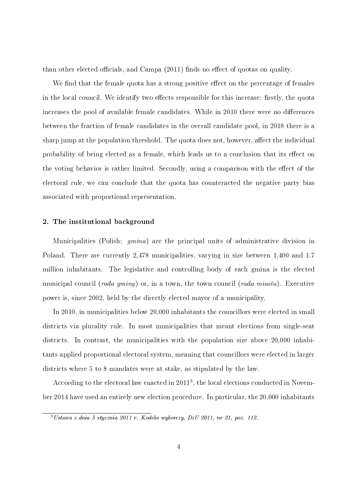than other elected officials, and Campa  $(2011)$  finds no effect of quotas on quality.

We find that the female quota has a strong positive effect on the percentage of females in the local council. We identify two effects responsible for this increase: firstly, the quota increases the pool of available female candidates. While in 2010 there were no differences between the fraction of female candidates in the overall candidate pool, in 2018 there is a sharp jump at the population threshold. The quota does not, however, affect the individual probability of being elected as a female, which leads us to a conclusion that its effect on the voting behavior is rather limited. Secondly, using a comparison with the effect of the electoral rule, we can conclude that the quota has counteracted the negative party bias associated with proportional representation.

#### 2. The institutional background

Municipalities (Polish: gmina) are the principal units of administrative division in Poland. There are currently 2,478 municipalities, varying in size between 1,400 and 1.7 million inhabitants. The legislative and controlling body of each gmina is the elected municipal council (*rada gminy*) or, in a town, the town council (*rada miasta*). Executive power is, since 2002, held by the directly elected mayor of a municipality.

In 2010, in municipalities below 20,000 inhabitants the councillors were elected in small districts via plurality rule. In most municipalities that meant elections from single-seat districts. In contrast, the municipalities with the population size above 20,000 inhabitants applied proportional electoral system, meaning that councillors were elected in larger districts where 5 to 8 mandates were at stake, as stipulated by the law.

According to the electoral law enacted in 2011<sup>3</sup> , the local elections conducted in November 2014 have used an entirely new election procedure. In particular, the 20,000 inhabitants

 $3 Ustawa z dnia 5 stycznia 2011 r. Kodeks wyborczy, DzU 2011, nr 21, poz. 112.$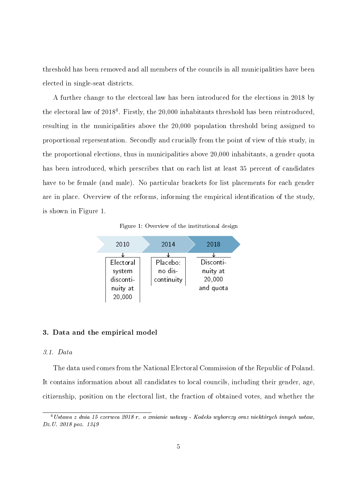threshold has been removed and all members of the councils in all municipalities have been elected in single-seat districts.

A further change to the electoral law has been introduced for the elections in 2018 by the electoral law of 2018<sup>4</sup>. Firstly, the 20,000 inhabitants threshold has been reintroduced, resulting in the municipalities above the 20,000 population threshold being assigned to proportional representation. Secondly and crucially from the point of view of this study, in the proportional elections, thus in municipalities above 20,000 inhabitants, a gender quota has been introduced, which prescribes that on each list at least 35 percent of candidates have to be female (and male). No particular brackets for list placements for each gender are in place. Overview of the reforms, informing the empirical identification of the study. is shown in Figure 1.





#### 3. Data and the empirical model

#### 3.1. Data

The data used comes from the National Electoral Commission of the Republic of Poland. It contains information about all candidates to local councils, including their gender, age, citizenship, position on the electoral list, the fraction of obtained votes, and whether the

<sup>4</sup>Ustawa z dnia 15 czerwca 2018 r. o zmianie ustawy - Kodeks wyborczy oraz niektórych innych ustaw, Dz.U. 2018 poz. 1349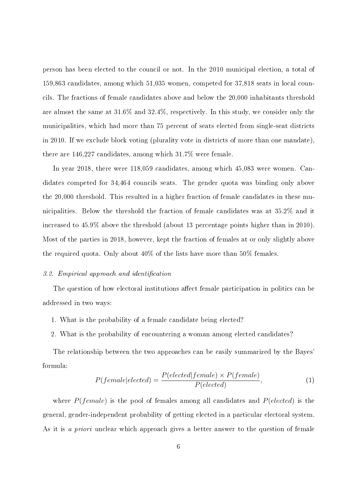person has been elected to the council or not. In the 2010 municipal election, a total of 159,863 candidates, among which 51,035 women, competed for 37,818 seats in local councils. The fractions of female candidates above and below the 20,000 inhabitants threshold are almost the same at 31.6% and 32.4%, respectively. In this study, we consider only the municipalities, which had more than 75 percent of seats elected from single-seat districts in 2010. If we exclude block voting (plurality vote in districts of more than one mandate), there are 146,227 candidates, among which 31.7% were female.

In year 2018, there were 118,059 candidates, among which 45,083 were women. Candidates competed for 34,464 councils seats. The gender quota was binding only above the 20,000 threshold. This resulted in a higher fraction of female candidates in these municipalities. Below the threshold the fraction of female candidates was at 35.2% and it increased to 45.9% above the threshold (about 13 percentage points higher than in 2010). Most of the parties in 2018, however, kept the fraction of females at or only slightly above the required quota. Only about 40% of the lists have more than 50% females.

#### 3.2. Empirical approach and identification

The question of how electoral institutions affect female participation in politics can be addressed in two ways:

- 1. What is the probability of a female candidate being elected?
- 2. What is the probability of encountering a woman among elected candidates?

The relationship between the two approaches can be easily summarized by the Bayes' formula:

$$
P(female|elected) = \frac{P(elected|female) \times P(female)}{P(elected)},
$$
\n<sup>(1)</sup>

where  $P(\text{female})$  is the pool of females among all candidates and  $P(\text{elected})$  is the general, gender-independent probability of getting elected in a particular electoral system. As it is a priori unclear which approach gives a better answer to the question of female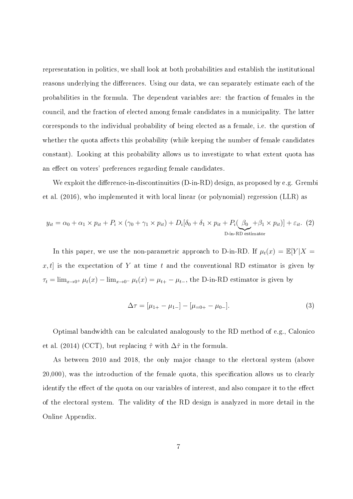representation in politics, we shall look at both probabilities and establish the institutional reasons underlying the differences. Using our data, we can separately estimate each of the probabilities in the formula. The dependent variables are: the fraction of females in the council, and the fraction of elected among female candidates in a municipality. The latter corresponds to the individual probability of being elected as a female, i.e. the question of whether the quota affects this probability (while keeping the number of female candidates constant). Looking at this probability allows us to investigate to what extent quota has an effect on voters' preferences regarding female candidates.

We exploit the difference-in-discontinuities  $(D-in-RD)$  design, as proposed by e.g. Grembi et al. (2016), who implemented it with local linear (or polynomial) regression (LLR) as

$$
y_{it} = \alpha_0 + \alpha_1 \times p_{it} + P_i \times (\gamma_0 + \gamma_1 \times p_{it}) + D_i[\delta_0 + \delta_1 \times p_{it} + P_i(\underbrace{\beta_0}_{\text{D-in-RD estimator}} + \beta_1 \times p_{it})] + \varepsilon_{it}.
$$
 (2)

In this paper, we use the non-parametric approach to D-in-RD. If  $\mu_t(x) = \mathbb{E}[Y|X =$  $x, t$  is the expectation of Y at time t and the conventional RD estimator is given by  $\tau_t = \lim_{x \to 0^+} \mu_t(x) - \lim_{x \to 0^-} \mu_t(x) = \mu_{t+} - \mu_{t-}$ , the D-in-RD estimator is given by

$$
\Delta \tau = [\mu_{1+} - \mu_{1-}] - [\mu_{=0+} - \mu_{0-}]. \tag{3}
$$

Optimal bandwidth can be calculated analogously to the RD method of e.g., Calonico et al. (2014) (CCT), but replacing  $\hat{\tau}$  with  $\Delta\hat{\tau}$  in the formula.

As between 2010 and 2018, the only major change to the electoral system (above 20,000), was the introduction of the female quota, this specication allows us to clearly identify the effect of the quota on our variables of interest, and also compare it to the effect of the electoral system. The validity of the RD design is analyzed in more detail in the Online Appendix.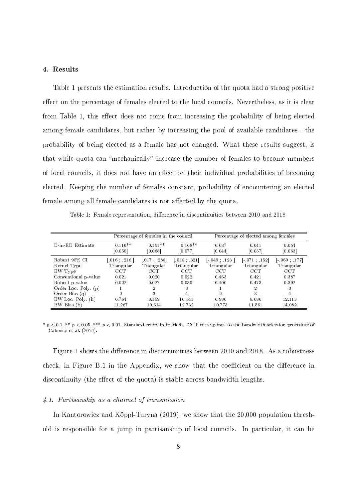#### 4. Results

Table 1 presents the estimation results. Introduction of the quota had a strong positive effect on the percentage of females elected to the local councils. Nevertheless, as it is clear from Table 1, this effect does not come from increasing the probability of being elected among female candidates, but rather by increasing the pool of available candidates - the probability of being elected as a female has not changed. What these results suggest, is that while quota can "mechanically" increase the number of females to become members of local councils, it does not have an effect on their individual probabilities of becoming elected. Keeping the number of females constant, probability of encountering an elected female among all female candidates is not affected by the quota.

Table 1: Female representation, difference in discontinuities between 2010 and 2018

|                      | Percentage of females in the council |                       | Percentage of elected among females |                                       |                  |                  |
|----------------------|--------------------------------------|-----------------------|-------------------------------------|---------------------------------------|------------------|------------------|
| D-in-RD Estimate     | $0.116**$<br>[0.050]                 | $0.151**$<br>[0.068]  | $0.168**$<br>[0.077]                | 0.037<br>[0.044]                      | 0.041<br>[0.057] | 0.054<br>[0.063] |
| Robust 95% CI        | $[.016 \; ; \; .216 \; ]$            | $[.017 \; ; \; .286]$ | $.016 \div .321$                    | $\left[ -049 \; ; \; .123 \; \right]$ | $-.071-.152]$    | $-.069-.177]$    |
| Kernel Type          | Triangular                           | Triangular            | Triangular                          | Triangular                            | Triangular       | Triangular       |
| BW Type              | <b>CCT</b>                           | <b>CCT</b>            | <b>CCT</b>                          | <b>CCT</b>                            | <b>CCT</b>       | <b>CCT</b>       |
| Conventional p-value | 0.021                                | 0.020                 | 0.022                               | 0.463                                 | 0.421            | 0.387            |
| Robust p-value       | 0.022                                | 0.027                 | 0.030                               | 0.400                                 | 0.473            | 0.392            |
| Order Loc. Poly. (p) |                                      | $\overline{2}$        | 3                                   |                                       | $\overline{2}$   | 3                |
| Order Bias $(q)$     | $\overline{2}$                       | 3                     | 4                                   | 2                                     | 3                | 4                |
| BW Loc. Poly. (h)    | 6.764                                | 8.159                 | 10.541                              | 6.980                                 | 8.686            | 12.113           |
| BW Bias (b)          | 11.267                               | 10.614                | 12.732                              | 10.773                                | 11.561           | 14.082           |

 $*$   $p < 0.1,$   $**$   $p < 0.05,$   $***$   $p < 0.01$ . Standard errors in brackets. CCT corresponds to the bandwidth selection procedure of Calonico et al. (2014).

Figure 1 shows the difference in discontinuities between 2010 and 2018. As a robustness check, in Figure B.1 in the Appendix, we show that the coefficient on the difference in discontinuity (the effect of the quota) is stable across bandwidth lengths.

#### 4.1. Partisanship as a channel of transmission

In Kantorowicz and Köppl-Turyna (2019), we show that the 20,000 population threshold is responsible for a jump in partisanship of local councils. In particular, it can be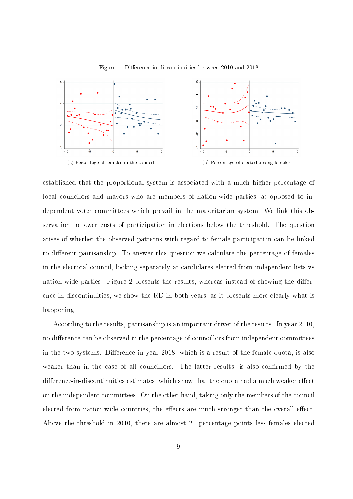

Figure 1: Difference in discontinuities between 2010 and 2018

established that the proportional system is associated with a much higher percentage of local councilors and mayors who are members of nation-wide parties, as opposed to independent voter committees which prevail in the majoritarian system. We link this observation to lower costs of participation in elections below the threshold. The question arises of whether the observed patterns with regard to female participation can be linked to different partisanship. To answer this question we calculate the percentage of females in the electoral council, looking separately at candidates elected from independent lists vs nation-wide parties. Figure 2 presents the results, whereas instead of showing the difference in discontinuities, we show the RD in both years, as it presents more clearly what is happening.

According to the results, partisanship is an important driver of the results. In year 2010, no difference can be observed in the percentage of councillors from independent committees in the two systems. Difference in year 2018, which is a result of the female quota, is also weaker than in the case of all councillors. The latter results, is also confirmed by the difference-in-discontinuities estimates, which show that the quota had a much weaker effect on the independent committees. On the other hand, taking only the members of the council elected from nation-wide countries, the effects are much stronger than the overall effect. Above the threshold in 2010, there are almost 20 percentage points less females elected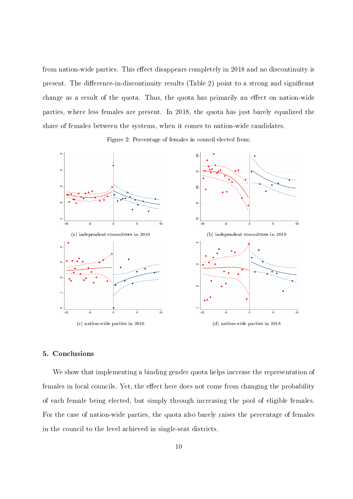from nation-wide parties. This effect disappears completely in 2018 and no discontinuity is present. The difference-in-discontinuity results (Table 2) point to a strong and significant change as a result of the quota. Thus, the quota has primarily an effect on nation-wide parties, where less females are present. In 2018, the quota has just barely equalized the share of females between the systems, when it comes to nation-wide candidates.





#### 5. Conclusions

We show that implementing a binding gender quota helps increase the representation of females in local councils. Yet, the effect here does not come from changing the probability of each female being elected, but simply through increasing the pool of eligible females. For the case of nation-wide parties, the quota also barely raises the percentage of females in the council to the level achieved in single-seat districts.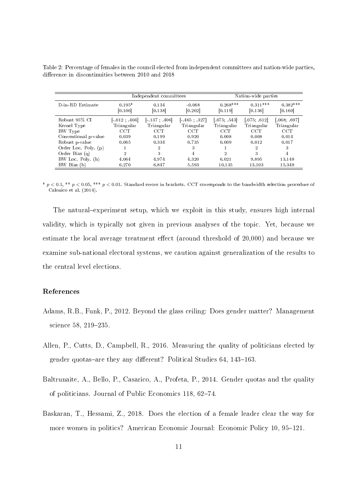|                      | Independent committees                     |                  |                       | Nation-wide parties   |                       |                       |
|----------------------|--------------------------------------------|------------------|-----------------------|-----------------------|-----------------------|-----------------------|
| D-in-RD Estimate     | $0.195*$<br>[0.106]                        | 0.134<br>[0.138] | $-0.068$<br>[0.202]   | $0.268***$<br>[0.119] | $0.311***$<br>[0.136] | $0.382***$<br>[0.160] |
| Robust 95% CI        | $\begin{bmatrix} 0.12 & 404 \end{bmatrix}$ | $-.137-.406]$    | $[-465 \; , \; .327]$ | [.075; .543]          | [.075; .612]          | [.068; .697]          |
| Kernel Type          | Triangular                                 | Triangular       | Triangular            | Triangular            | Triangular            | Triangular            |
| BW Type              | <b>CCT</b>                                 | <b>CCT</b>       | <b>CCT</b>            | <b>CCT</b>            | <b>CCT</b>            | <b>CCT</b>            |
| Conventional p-value | 0.039                                      | 0.199            | 0.920                 | 0.008                 | 0.008                 | 0.014                 |
| Robust p-value       | 0.065                                      | 0.334            | 0.735                 | 0.009                 | 0.012                 | 0.017                 |
| Order Loc. Poly. (p) |                                            | $\overline{2}$   | 3                     |                       | 2                     | 3                     |
| Order Bias $(q)$     | 2                                          | 3                | 4                     | 2                     | 3                     | 4                     |
| BW Loc. Poly. (h)    | 4.064                                      | 4.974            | 4.320                 | 6.021                 | 9.895                 | 13.148                |
| BW Bias (b)          | 6.270                                      | 6.847            | 5.593                 | 10.135                | 13.103                | 15.348                |

Table 2: Percentage of females in the council elected from independent committees and nation-wide parties, difference in discontinuities between 2010 and 2018

\*  $p < 0.1$ , \*\*  $p < 0.05$ , \*\*\*  $p < 0.01$ . Standard errors in brackets. CCT corresponds to the bandwidth selection procedure of Calonico et al. (2014).

The natural–experiment setup, which we exploit in this study, ensures high internal validity, which is typically not given in previous analyses of the topic. Yet, because we estimate the local average treatment effect (around threshold of  $20,000$ ) and because we examine sub-national electoral systems, we caution against generalization of the results to the central level elections.

#### References

- Adams, R.B., Funk, P., 2012. Beyond the glass ceiling: Does gender matter? Management science 58, 219-235.
- Allen, P., Cutts, D., Campbell, R., 2016. Measuring the quality of politicians elected by gender quotas-are they any different? Political Studies 64, 143-163.
- Baltrunaite, A., Bello, P., Casarico, A., Profeta, P., 2014. Gender quotas and the quality of politicians. Journal of Public Economics 118, 62–74.
- Baskaran, T., Hessami, Z., 2018. Does the election of a female leader clear the way for more women in politics? American Economic Journal: Economic Policy 10, 95–121.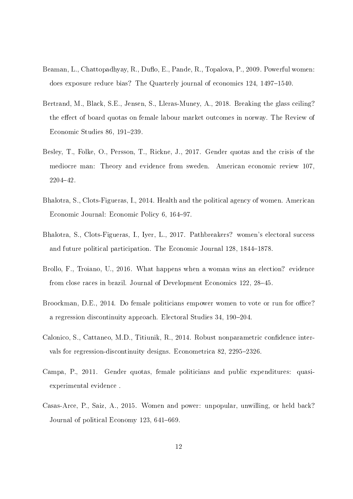- Beaman, L., Chattopadhyay, R., Duflo, E., Pande, R., Topalova, P., 2009. Powerful women: does exposure reduce bias? The Quarterly journal of economics 124, 1497-1540.
- Bertrand, M., Black, S.E., Jensen, S., Lleras-Muney, A., 2018. Breaking the glass ceiling? the effect of board quotas on female labour market outcomes in norway. The Review of Economic Studies 86, 191-239.
- Besley, T., Folke, O., Persson, T., Rickne, J., 2017. Gender quotas and the crisis of the mediocre man: Theory and evidence from sweden. American economic review 107, 220442.
- Bhalotra, S., Clots-Figueras, I., 2014. Health and the political agency of women. American Economic Journal: Economic Policy 6, 164–97.
- Bhalotra, S., Clots-Figueras, I., Iyer, L., 2017. Pathbreakers? women's electoral success and future political participation. The Economic Journal 128, 1844–1878.
- Brollo, F., Troiano, U., 2016. What happens when a woman wins an election? evidence from close races in brazil. Journal of Development Economics 122, 28-45.
- Broockman, D.E., 2014. Do female politicians empower women to vote or run for office? a regression discontinuity approach. Electoral Studies 34, 190-204.
- Calonico, S., Cattaneo, M.D., Titiunik, R., 2014. Robust nonparametric condence intervals for regression-discontinuity designs. Econometrica 82, 2295–2326.
- Campa, P., 2011. Gender quotas, female politicians and public expenditures: quasiexperimental evidence .
- Casas-Arce, P., Saiz, A., 2015. Women and power: unpopular, unwilling, or held back? Journal of political Economy 123, 641–669.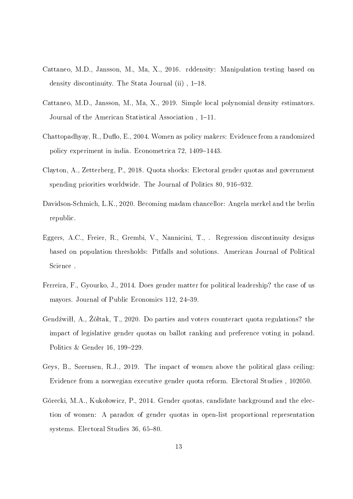- Cattaneo, M.D., Jansson, M., Ma, X., 2016. rddensity: Manipulation testing based on density discontinuity. The Stata Journal (ii), 1-18.
- Cattaneo, M.D., Jansson, M., Ma, X., 2019. Simple local polynomial density estimators. Journal of the American Statistical Association, 1-11.
- Chattopadhyay, R., Duflo, E., 2004. Women as policy makers: Evidence from a randomized policy experiment in india. Econometrica 72, 1409–1443.
- Clayton, A., Zetterberg, P., 2018. Quota shocks: Electoral gender quotas and government spending priorities worldwide. The Journal of Politics 80, 916–932.
- Davidson-Schmich, L.K., 2020. Becoming madam chancellor: Angela merkel and the berlin republic.
- Eggers, A.C., Freier, R., Grembi, V., Nannicini, T., . Regression discontinuity designs based on population thresholds: Pitfalls and solutions. American Journal of Political Science .
- Ferreira, F., Gyourko, J., 2014. Does gender matter for political leadership? the case of us mayors. Journal of Public Economics 112, 24-39.
- Gendźwiłł, A., Żółtak, T., 2020. Do parties and voters counteract quota regulations? the impact of legislative gender quotas on ballot ranking and preference voting in poland. Politics  $&$  Gender 16, 199-229.
- Geys, B., Sørensen, R.J., 2019. The impact of women above the political glass ceiling: Evidence from a norwegian executive gender quota reform. Electoral Studies , 102050.
- Górecki, M.A., Kukołowicz, P., 2014. Gender quotas, candidate background and the election of women: A paradox of gender quotas in open-list proportional representation systems. Electoral Studies 36, 65–80.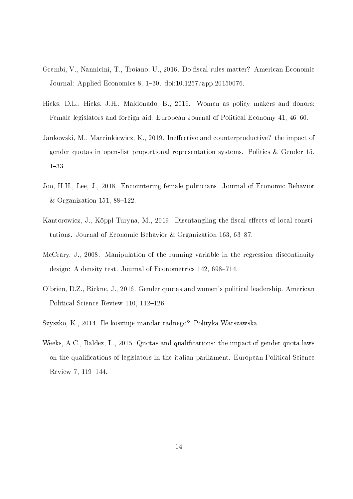- Grembi, V., Nannicini, T., Troiano, U., 2016. Do fiscal rules matter? American Economic Journal: Applied Economics 8, 1-30. doi:10.1257/app.20150076.
- Hicks, D.L., Hicks, J.H., Maldonado, B., 2016. Women as policy makers and donors: Female legislators and foreign aid. European Journal of Political Economy 41, 46–60.
- Jankowski, M., Marcinkiewicz, K., 2019. Ineffective and counterproductive? the impact of gender quotas in open-list proportional representation systems. Politics & Gender 15, 1-33.
- Joo, H.H., Lee, J., 2018. Encountering female politicians. Journal of Economic Behavior & Organization 151, 88-122.
- Kantorowicz, J., Köppl-Turyna, M., 2019. Disentangling the fiscal effects of local constitutions. Journal of Economic Behavior & Organization 163, 63-87.
- McCrary, J., 2008. Manipulation of the running variable in the regression discontinuity design: A density test. Journal of Econometrics 142, 698-714.
- O'brien, D.Z., Rickne, J., 2016. Gender quotas and women's political leadership. American Political Science Review 110, 112-126.
- Szyszko, K., 2014. Ile kosztuje mandat radnego? Polityka Warszawska .
- Weeks, A.C., Baldez, L., 2015. Quotas and qualifications: the impact of gender quota laws on the qualications of legislators in the italian parliament. European Political Science Review 7, 119-144.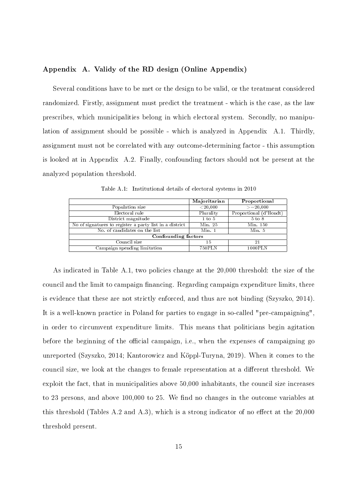#### Appendix A. Validy of the RD design (Online Appendix)

Several conditions have to be met or the design to be valid, or the treatment considered randomized. Firstly, assignment must predict the treatment - which is the case, as the law prescribes, which municipalities belong in which electoral system. Secondly, no manipulation of assignment should be possible - which is analyzed in Appendix A.1. Thirdly, assignment must not be correlated with any outcome-determining factor - this assumption is looked at in Appendix A.2. Finally, confounding factors should not be present at the analyzed population threshold.

|                                                         | Majoritarian | Proportional           |
|---------------------------------------------------------|--------------|------------------------|
| Population size                                         | ${<}20,000$  | $>=$ 20,000            |
| Electoral rule                                          | Plurality    | Proportional (d'Hondt) |
| District magnitude                                      | 1 to 5       | $5$ to $8$             |
| No of signatures to register a party list in a district | Min.25       | Min. 150               |
| No. of candidates on the list                           | Min.1        | Min 5                  |
| Confounding factors                                     |              |                        |
| Council size                                            | 15           | 21                     |
| Campaign spending limitation                            | 750PLN       | 1000PLN                |

Table A.1: Institutional details of electoral systems in 2010

As indicated in Table A.1, two policies change at the 20,000 threshold: the size of the council and the limit to campaign financing. Regarding campaign expenditure limits, there is evidence that these are not strictly enforced, and thus are not binding (Szyszko, 2014). It is a well-known practice in Poland for parties to engage in so-called "pre-campaigning", in order to circumvent expenditure limits. This means that politicians begin agitation before the beginning of the official campaign, i.e., when the expenses of campaigning go unreported (Szyszko, 2014; Kantorowicz and Köppl-Turyna, 2019). When it comes to the council size, we look at the changes to female representation at a different threshold. We exploit the fact, that in municipalities above 50,000 inhabitants, the council size increases to 23 persons, and above 100,000 to 25. We find no changes in the outcome variables at this threshold (Tables A.2 and A.3), which is a strong indicator of no effect at the  $20,000$ threshold present.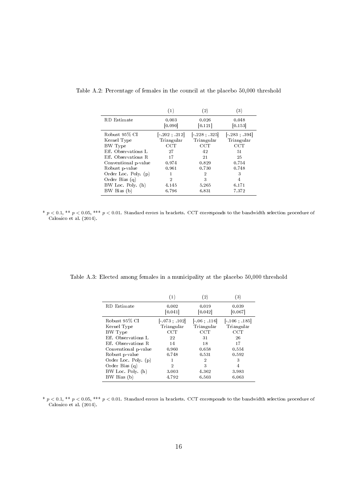|                      | (1)                  | (2)              | (3)              |
|----------------------|----------------------|------------------|------------------|
| RD Estimate          | 0.003<br>[0.090]     | 0.026<br>[0.121] | 0.048<br>[0.153] |
| Robust 95% CI        | $[-202 \; ; \; 212]$ | 228:325          | $-.283-.394$     |
| Kernel Type          | Triangular           | Triangular       | Triangular       |
| BW Type              | $_{\rm{CCT}}$        | <b>CCT</b>       | $_{\rm CCT}$     |
| Eff. Observations L  | 27                   | 42               | 51               |
| Eff. Observations R. | 17                   | 21               | 25               |
| Conventional p-value | 0.974                | 0.829            | 0.754            |
| Robust p-value       | 0.961                | 0.730            | 0.748            |
| Order Loc. Poly. (p) | 1                    | $\overline{2}$   | 3                |
| Order Bias $(q)$     | 2                    | 3                | $\overline{4}$   |
| BW Loc. Poly. (h)    | 4.145                | 5.265            | 6.171            |
| BW Bias (b)          | 6.796                | 6.831            | 7.372            |

Table A.2: Percentage of females in the council at the placebo 50,000 threshold

\*  $p < 0.1$ , \*\*  $p < 0.05$ , \*\*\*  $p < 0.01$ . Standard errors in brackets. CCT corresponds to the bandwidth selection procedure of Calonico et al. (2014).

|                      | (1)                  | (2)              | (3)                    |
|----------------------|----------------------|------------------|------------------------|
| <b>RD</b> Estimate   | 0.002<br>[0.041]     | 0.019<br>[0.042] | 0.039<br>[0.067]       |
| Robust 95% CI        | $[-073 \; ; \; 102]$ | $-.06-.116$      | $[-.106 \; ; \; .185]$ |
| Kernel Type          | Triangular           | Triangular       | Triangular             |
| BW Type              | $_{\rm CCT}$         | $_{\rm CCT}$     | CCT                    |
| Eff. Observations L  | 22                   | 31               | 26                     |
| Eff. Observations R. | 14                   | 18               | 17                     |
| Conventional p-value | 0.960                | 0.658            | 0.554                  |
| Robust p-value       | 0.748                | 0.531            | 0.592                  |
| Order Loc. Poly. (p) | 1                    | $\overline{2}$   | 3                      |
| Order Bias (q)       | $\overline{2}$       | 3                | 4                      |
| BW Loc. Poly. (h)    | 3.003                | 4.362            | 3.983                  |
| BW Bias (b)          | 4.792                | 6.503            | 6.063                  |

Table A.3: Elected among females in a municipality at the placebo 50,000 threshold

\*  $p < 0.1$ , \*\*  $p < 0.05$ , \*\*\*  $p < 0.01$ . Standard errors in brackets. CCT corresponds to the bandwidth selection procedure of Calonico et al. (2014).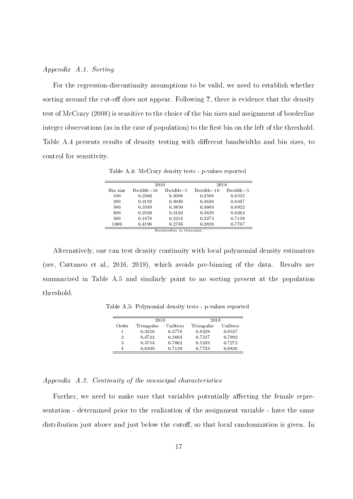#### Appendix A.1. Sorting

For the regression-discontinuity assumptions to be valid, we need to establish whether sorting around the cut-off does not appear. Following ?, there is evidence that the density test of McCrary (2008) is sensitive to the choice of the bin sizes and assignment of borderline integer observations (as in the case of population) to the first bin on the left of the threshold. Table A.4 presents results of density testing with different bandwidths and bin sizes, to control for sensitivity.

|          | 2010        |            | 2018          |              |
|----------|-------------|------------|---------------|--------------|
| Bin size | $Bwidth=10$ | $Bwidth=5$ | $Bwidth = 10$ | $Bwidth = 5$ |
| 100      | 0.2384      | 0.3096     | 0.3588        | 0.6535       |
| 200      | 0.2192      | 0.3040     | 0.3620        | 0.6347       |
| 300      | 0.3349      | 0.3850     | 0.3669        | 0.6922       |
| 400      | 0.2320      | 0.3103     | 0.3639        | 0.6263       |
| 500      | 0.1876      | 0.2214     | 0.3273        | 0.7138       |
| 1000     | 0.4196      | 0.2784     | 0.2828        | 0.7767       |

Table A.4: McCrary density tests - p-values reported

Alternatively, one can test density continuity with local polynomial density estimators (see, Cattaneo et al., 2016, 2019), which avoids pre-binning of the data. Results are summarized in Table A.5 and similarly point to no sorting present at the population threshold.

Table A.5: Polynomial density tests - p-values reported

|                | 2010       |         | 2018       |         |
|----------------|------------|---------|------------|---------|
| Order          | Triangular | Uniform | Triangular | Uniform |
|                | 0.3256     | 0.3776  | 0.8329     | 0.9537  |
| $\overline{2}$ | 0.4722     | 0.5664  | 0.7537     | 0.7892  |
| 3              | 0.3754     | 0.7862  | 0.5249     | 0.7272  |
| 4              | 0.6309     | 0.7129  | 0.7743     | 0.8826  |

Appendix A.2. Continuity of the municipal characteristics

Further, we need to make sure that variables potentially affecting the female representation - determined prior to the realization of the assignment variable - have the same distribution just above and just below the cutoff, so that local randomization is given. In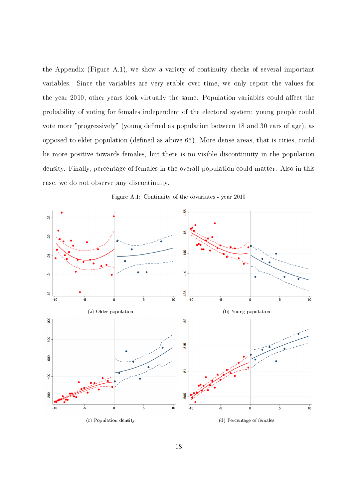the Appendix (Figure A.1), we show a variety of continuity checks of several important variables. Since the variables are very stable over time, we only report the values for the year 2010, other years look virtually the same. Population variables could affect the probability of voting for females independent of the electoral system: young people could vote more "progressively" (young defined as population between 18 and 30 ears of age), as opposed to elder population (defined as above 65). More dense areas, that is cities, could be more positive towards females, but there is no visible discontinuity in the population density. Finally, percentage of females in the overall population could matter. Also in this case, we do not observe any discontinuity.



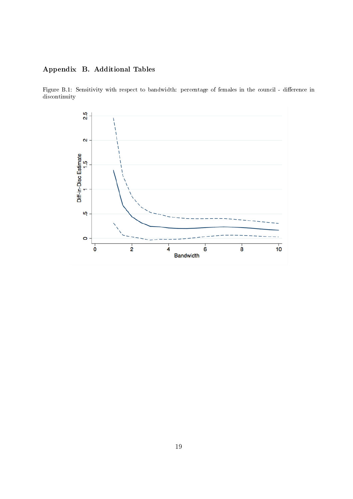## Appendix B. Additional Tables

Figure B.1: Sensitivity with respect to bandwidth: percentage of females in the council - difference in discontinuity